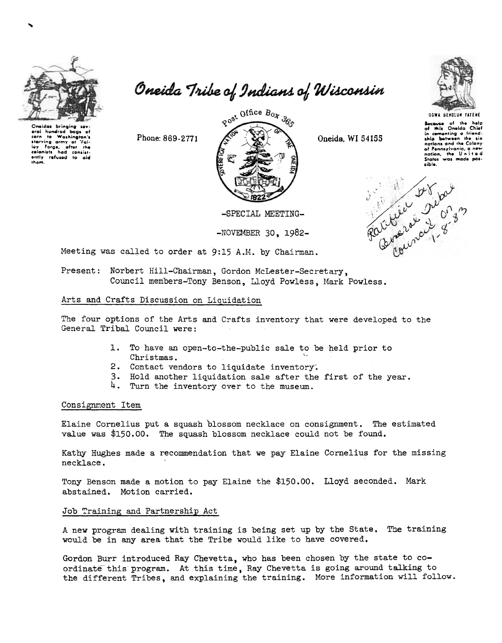

eral nunarea bags of<br>corn to Washington's<br>starving army of Yal-<br>ley Forge, after the<br>celonists had consist-<br>ently refused to aid

Oneida Tribe of Indians of Wisconsin



USWA DENOLUN YATENE

**Secause** of the help<br>of this Oneida Chief in comenting a friend-<br>ship between the six nations and the Colony of Pennsylvania, a new<br>nation, the United<br>States was made pos-

Client Duc<br>Sitional De

Phone: 869-2771



Oneida, WI 54155

-SPECIAL MEETING-

 $-NOVEMBER$  30, 1982-

Meeting was called to order at 9:15 A.M. by Chairman.

Present: Norbert Hill-Chairman, Gordon McLester-Secretary, Council members-Tony Benson, Lloyd Powless, Mark Powless.

## Arts and Crafts Discussion on Liquidation

The four options of the Arts and Crafts inventory that were developed to the General Tribal Council were:

- 1. To have an open-to-the-public sale to be held prior to Christmas.
- 2. Contact vendors to liquidate inventory.
- 3. Hold another liquidation sale after the first of the year.
- 4. Turn the inventory over to the museum.

## Consignment Item

Elaine Cornelius put a squash blossom necklace on consignment. The estimated value was \$150.00. The squash blossom necklace could not be found.

Kathy Hughes made a recommendation that we pay Elaine Cornelius for the missing necklace.

Tony Benson made a motion to pay Elaine the \$150.00. Lloyd seconded. Mark abstained. Motion carried.

## Job Training and Partnership Act

A new program dealing with training is being set up by the State. The training would be in any area that the Tribe would like to have covered.

Gordon Burr introduced Ray Chevetta, who has been chosen by the state to coordinate this program. At this time, Ray Chevetta is going around talking to the different Tribes, and explaining the training. More information will follow.